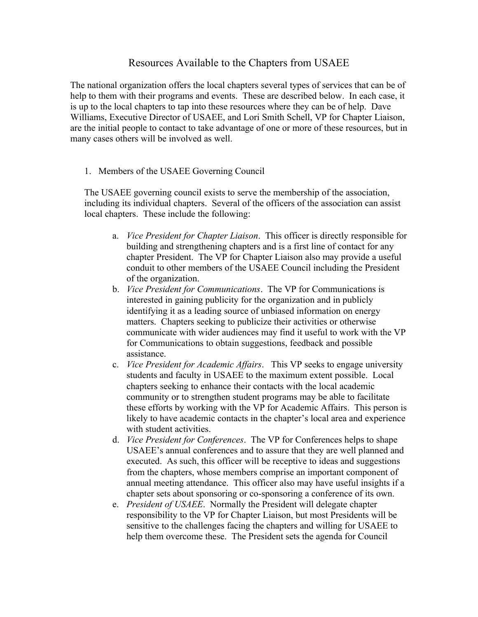## Resources Available to the Chapters from USAEE

The national organization offers the local chapters several types of services that can be of help to them with their programs and events. These are described below. In each case, it is up to the local chapters to tap into these resources where they can be of help. Dave Williams, Executive Director of USAEE, and Lori Smith Schell, VP for Chapter Liaison, are the initial people to contact to take advantage of one or more of these resources, but in many cases others will be involved as well.

1. Members of the USAEE Governing Council

The USAEE governing council exists to serve the membership of the association, including its individual chapters. Several of the officers of the association can assist local chapters. These include the following:

- a. *Vice President for Chapter Liaison*. This officer is directly responsible for building and strengthening chapters and is a first line of contact for any chapter President. The VP for Chapter Liaison also may provide a useful conduit to other members of the USAEE Council including the President of the organization.
- b. *Vice President for Communications*. The VP for Communications is interested in gaining publicity for the organization and in publicly identifying it as a leading source of unbiased information on energy matters. Chapters seeking to publicize their activities or otherwise communicate with wider audiences may find it useful to work with the VP for Communications to obtain suggestions, feedback and possible assistance.
- c. *Vice President for Academic Affairs*. This VP seeks to engage university students and faculty in USAEE to the maximum extent possible. Local chapters seeking to enhance their contacts with the local academic community or to strengthen student programs may be able to facilitate these efforts by working with the VP for Academic Affairs. This person is likely to have academic contacts in the chapter's local area and experience with student activities.
- d. *Vice President for Conferences*. The VP for Conferences helps to shape USAEE's annual conferences and to assure that they are well planned and executed. As such, this officer will be receptive to ideas and suggestions from the chapters, whose members comprise an important component of annual meeting attendance. This officer also may have useful insights if a chapter sets about sponsoring or co-sponsoring a conference of its own.
- e. *President of USAEE*. Normally the President will delegate chapter responsibility to the VP for Chapter Liaison, but most Presidents will be sensitive to the challenges facing the chapters and willing for USAEE to help them overcome these. The President sets the agenda for Council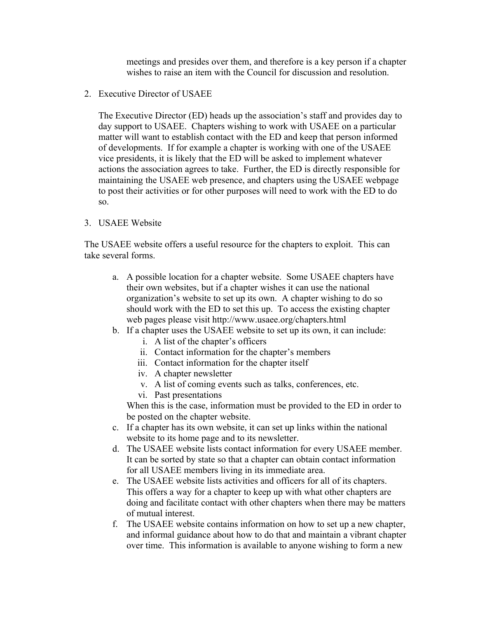meetings and presides over them, and therefore is a key person if a chapter wishes to raise an item with the Council for discussion and resolution.

2. Executive Director of USAEE

The Executive Director (ED) heads up the association's staff and provides day to day support to USAEE. Chapters wishing to work with USAEE on a particular matter will want to establish contact with the ED and keep that person informed of developments. If for example a chapter is working with one of the USAEE vice presidents, it is likely that the ED will be asked to implement whatever actions the association agrees to take. Further, the ED is directly responsible for maintaining the USAEE web presence, and chapters using the USAEE webpage to post their activities or for other purposes will need to work with the ED to do so.

## 3. USAEE Website

The USAEE website offers a useful resource for the chapters to exploit. This can take several forms.

- a. A possible location for a chapter website. Some USAEE chapters have their own websites, but if a chapter wishes it can use the national organization's website to set up its own. A chapter wishing to do so should work with the ED to set this up. To access the existing chapter web pages please visit http://www.usaee.org/chapters.html
- b. If a chapter uses the USAEE website to set up its own, it can include:
	- i. A list of the chapter's officers
	- ii. Contact information for the chapter's members
	- iii. Contact information for the chapter itself
	- iv. A chapter newsletter
	- v. A list of coming events such as talks, conferences, etc.
	- vi. Past presentations

When this is the case, information must be provided to the ED in order to be posted on the chapter website.

- c. If a chapter has its own website, it can set up links within the national website to its home page and to its newsletter.
- d. The USAEE website lists contact information for every USAEE member. It can be sorted by state so that a chapter can obtain contact information for all USAEE members living in its immediate area.
- e. The USAEE website lists activities and officers for all of its chapters. This offers a way for a chapter to keep up with what other chapters are doing and facilitate contact with other chapters when there may be matters of mutual interest.
- f. The USAEE website contains information on how to set up a new chapter, and informal guidance about how to do that and maintain a vibrant chapter over time. This information is available to anyone wishing to form a new